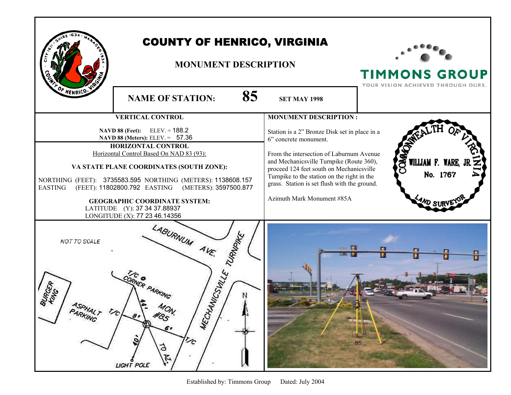|                                      | <b>COUNTY OF HENRICO, VIRGINIA</b><br><b>MONUMENT DESCRIPTION</b>                                                                                                                                                                                                                                                                                                                                                |                                                                                                                                                                                                                                                                                                                                         | <b>TIMMONS GROUP</b>                           |
|--------------------------------------|------------------------------------------------------------------------------------------------------------------------------------------------------------------------------------------------------------------------------------------------------------------------------------------------------------------------------------------------------------------------------------------------------------------|-----------------------------------------------------------------------------------------------------------------------------------------------------------------------------------------------------------------------------------------------------------------------------------------------------------------------------------------|------------------------------------------------|
| OF HENRICO.                          | 85<br><b>NAME OF STATION:</b>                                                                                                                                                                                                                                                                                                                                                                                    | <b>SET MAY 1998</b>                                                                                                                                                                                                                                                                                                                     | YOUR VISION ACHIEVED THROUGH OURS.             |
|                                      | <b>VERTICAL CONTROL</b>                                                                                                                                                                                                                                                                                                                                                                                          | <b>MONUMENT DESCRIPTION:</b>                                                                                                                                                                                                                                                                                                            |                                                |
| <b>EASTING</b>                       | $ELEV = 188.2$<br>NAVD 88 (Feet):<br>NAVD 88 (Meters): ELEV. = 57.36<br>HORIZONTAL CONTROL<br>Horizontal Control Based On NAD 83 (93):<br>VA STATE PLANE COORDINATES (SOUTH ZONE):<br>NORTHING (FEET): 3735583.595 NORTHING (METERS): 1138608.157<br>(FEET): 11802800.792 EASTING (METERS): 3597500.877<br><b>GEOGRAPHIC COORDINATE SYSTEM:</b><br>LATITUDE (Y): 37 34 37.88937<br>LONGITUDE (X): 77 23 46.14356 | Station is a 2" Bronze Disk set in place in a<br>6" concrete monument.<br>From the intersection of Laburnum Avenue<br>and Mechanicsville Turnpike (Route 360),<br>proceed 124 feet south on Mechanicsville<br>Turnpike to the station on the right in the<br>grass. Station is set flush with the ground.<br>Azimuth Mark Monument #85A | COM<br>WILLIAM F. WARE, J<br>No. 1767<br>AND S |
| NOT TO SCALE<br>PARKING <sup>T</sup> | LABURNUM AVE.<br>TURNANTE<br>MECTHANICSVALLE<br>RNER PARKING<br>$\sim$<br>#85 <sup>N</sup><br>$\theta$<br>6,<br>$\tilde{c}$<br>ð<br>$\tilde{\mathcal{L}}$<br>LIGHT POLE                                                                                                                                                                                                                                          |                                                                                                                                                                                                                                                                                                                                         | 85                                             |